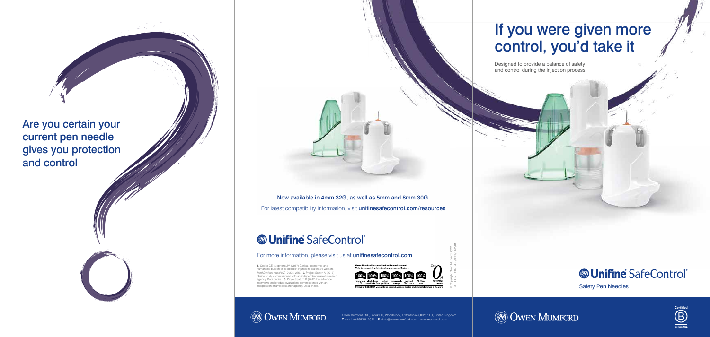© Copyright Owen Mumford 2022 SAFECONTROL-LT-GL/MCC/0322/01

# If you were given more control, you'd take it

Designed to provide a balance of safety and control during the injection process



Safety Pen Needles





Now available in 4mm 32G, as well as 5mm and 8mm 30G. For latest compatibility information, visit unifinesafecontrol.com/resources

### **Whifine SafeControl**®

#### For more information, please visit us at unifinesafecontrol.com

**1.** Cooke CE, Stephens JM (2017) Clinical, economic, and humanistic burden of needlestick injuries in healthcare workers. Med Devices Auckl NZ 10:225–235. **2.** Project Saturn A (2017) Online study commissioned with an independent market research agency. Data on file. **3.** Project Saturn B (2017) Face-to-face interviews and product evaluations commissioned with an independent market research agency. Data on file.

**@ OWEN MUMFORD** 



Are you certain your current pen needle gives you protection and control

> Owen Mumford Ltd., Brook Hill, Woodstock, Oxfordshire OX20 1TU, United Kingdom **T :** +44 (0)1993 812021 **E :** info@owenmumford.com owenmumford.com